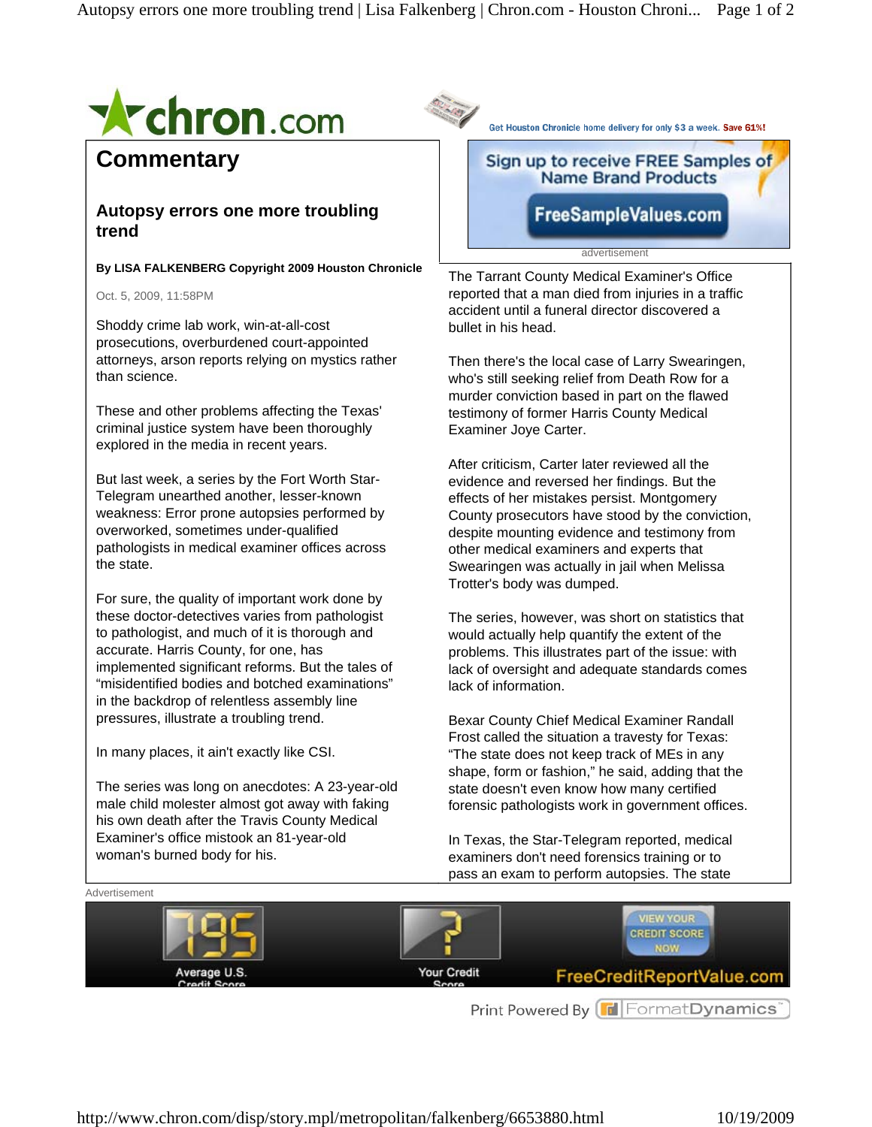

## **Commentary**

## **Autopsy errors one more troubling trend**

**By LISA FALKENBERG Copyright 2009 Houston Chronicle** 

Oct. 5, 2009, 11:58PM

Shoddy crime lab work, win-at-all-cost prosecutions, overburdened court-appointed attorneys, arson reports relying on mystics rather than science.

These and other problems affecting the Texas' criminal justice system have been thoroughly explored in the media in recent years.

But last week, a series by the Fort Worth Star-Telegram unearthed another, lesser-known weakness: Error prone autopsies performed by overworked, sometimes under-qualified pathologists in medical examiner offices across the state.

For sure, the quality of important work done by these doctor-detectives varies from pathologist to pathologist, and much of it is thorough and accurate. Harris County, for one, has implemented significant reforms. But the tales of "misidentified bodies and botched examinations" in the backdrop of relentless assembly line pressures, illustrate a troubling trend.

In many places, it ain't exactly like CSI.

The series was long on anecdotes: A 23-year-old male child molester almost got away with faking his own death after the Travis County Medical Examiner's office mistook an 81-year-old woman's burned body for his.

Get Houston Chronicle home delivery for only \$3 a week. Save 61%!

## Sign up to receive FREE Samples of **Name Brand Products**

FreeSampleValues.com

advertisement

The Tarrant County Medical Examiner's Office reported that a man died from injuries in a traffic accident until a funeral director discovered a bullet in his head.

Then there's the local case of Larry Swearingen, who's still seeking relief from Death Row for a murder conviction based in part on the flawed testimony of former Harris County Medical Examiner Joye Carter.

After criticism, Carter later reviewed all the evidence and reversed her findings. But the effects of her mistakes persist. Montgomery County prosecutors have stood by the conviction, despite mounting evidence and testimony from other medical examiners and experts that Swearingen was actually in jail when Melissa Trotter's body was dumped.

The series, however, was short on statistics that would actually help quantify the extent of the problems. This illustrates part of the issue: with lack of oversight and adequate standards comes lack of information.

Bexar County Chief Medical Examiner Randall Frost called the situation a travesty for Texas: "The state does not keep track of MEs in any shape, form or fashion," he said, adding that the state doesn't even know how many certified forensic pathologists work in government offices.

In Texas, the Star-Telegram reported, medical examiners don't need forensics training or to pass an exam to perform autopsies. The state